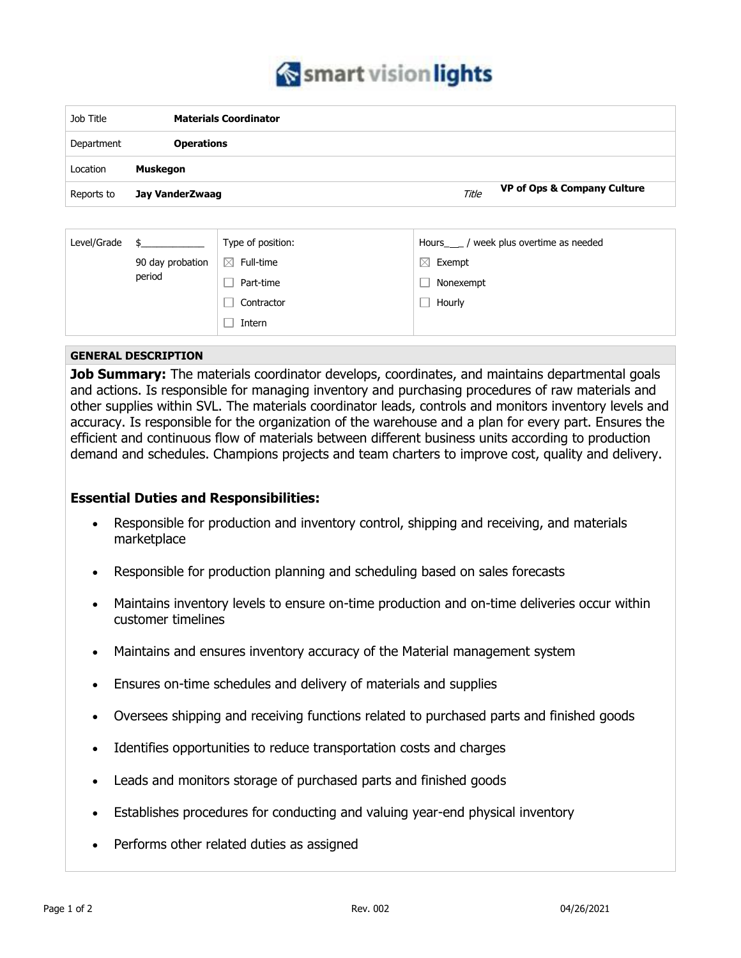

| Job Title  | <b>Materials Coordinator</b> |                                                 |  |
|------------|------------------------------|-------------------------------------------------|--|
| Department | <b>Operations</b>            |                                                 |  |
| Location   | Muskegon                     |                                                 |  |
| Reports to | Jay VanderZwaag              | <b>VP of Ops &amp; Company Culture</b><br>Title |  |

| Level/Grade |                            | Type of position:        | week plus overtime as needed<br>Hours |
|-------------|----------------------------|--------------------------|---------------------------------------|
|             | 90 day probation<br>period | $\boxtimes$<br>Full-time | $\boxtimes$<br>Exempt                 |
|             |                            | Part-time                | Nonexempt                             |
|             |                            | Contractor               | Hourly                                |
|             |                            | Intern                   |                                       |

## **GENERAL DESCRIPTION**

**Job Summary:** The materials coordinator develops, coordinates, and maintains departmental goals and actions. Is responsible for managing inventory and purchasing procedures of raw materials and other supplies within SVL. The materials coordinator leads, controls and monitors inventory levels and accuracy. Is responsible for the organization of the warehouse and a plan for every part. Ensures the efficient and continuous flow of materials between different business units according to production demand and schedules. Champions projects and team charters to improve cost, quality and delivery.

## **Essential Duties and Responsibilities:**

- Responsible for production and inventory control, shipping and receiving, and materials marketplace
- Responsible for production planning and scheduling based on sales forecasts
- Maintains inventory levels to ensure on-time production and on-time deliveries occur within customer timelines
- Maintains and ensures inventory accuracy of the Material management system
- Ensures on-time schedules and delivery of materials and supplies
- Oversees shipping and receiving functions related to purchased parts and finished goods
- Identifies opportunities to reduce transportation costs and charges
- Leads and monitors storage of purchased parts and finished goods
- Establishes procedures for conducting and valuing year-end physical inventory
- Performs other related duties as assigned